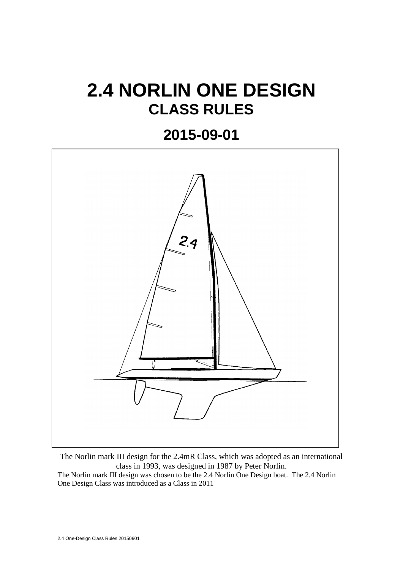# **2.4 NORLIN ONE DESIGN CLASS RULES**

## **2015-09-01**



The Norlin mark III design for the 2.4mR Class, which was adopted as an international class in 1993, was designed in 1987 by Peter Norlin.

The Norlin mark III design was chosen to be the 2.4 Norlin One Design boat. The 2.4 Norlin One Design Class was introduced as a Class in 2011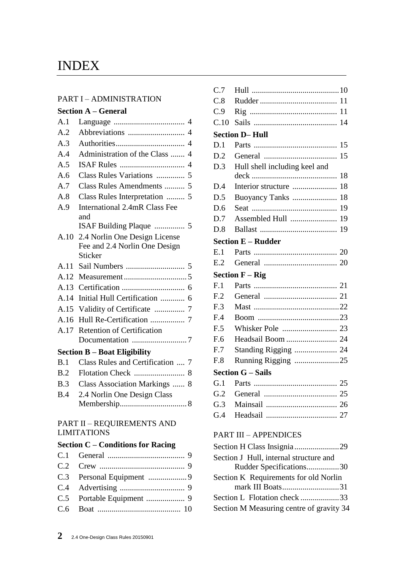## INDEX

#### PART I – ADMINISTRATION

|      | <b>Section A – General</b>              |
|------|-----------------------------------------|
| A.1  |                                         |
| A.2  |                                         |
| A.3  |                                         |
| A.4  | Administration of the Class  4          |
| A.5  |                                         |
| A.6  |                                         |
| A.7  | Class Rules Amendments  5               |
| A.8  | Class Rules Interpretation  5           |
| A.9  | <b>International 2.4mR Class Fee</b>    |
|      | and                                     |
| A.10 | 2.4 Norlin One Design License           |
|      | Fee and 2.4 Norlin One Design           |
|      | Sticker                                 |
| A.11 |                                         |
| A.12 |                                         |
| A.13 |                                         |
| A.14 | Initial Hull Certification  6           |
| A.15 |                                         |
| A.16 |                                         |
| A.17 | <b>Retention of Certification</b>       |
|      |                                         |
|      | <b>Section B – Boat Eligibility</b>     |
| B.1  | Class Rules and Certification  7        |
| B.2  |                                         |
| B.3  | <b>Class Association Markings </b><br>8 |
| B.4  | 2.4 Norlin One Design Class             |
|      |                                         |

### PART II – REQUIREMENTS AND LIMITATIONS

## **Section C – Conditions for Racing**

| C.7             |                                     |
|-----------------|-------------------------------------|
| C.8             |                                     |
| C.9             |                                     |
| C.10            |                                     |
|                 | <b>Section D-Hull</b>               |
| D.1             | 15                                  |
| D.2             | 15                                  |
| D.3             | Hull shell including keel and<br>18 |
| D.4             | Interior structure<br>18            |
| D.5             | 18<br>Buoyancy Tanks                |
| D.6             | 19                                  |
| D.7             | Assembled Hull<br>19                |
| D.8             |                                     |
|                 | <b>Section E - Rudder</b>           |
| E.1             |                                     |
| E.2             |                                     |
|                 | <b>Section <math>F - Rig</math></b> |
| F <sub>1</sub>  |                                     |
| F <sub>12</sub> |                                     |
| F.3             |                                     |
|                 |                                     |
| F.4             |                                     |
| F.5             |                                     |
| F.6             | Headsail Boom  24                   |
| F.7             | Standing Rigging  24                |
| F.8             | Running Rigging 25                  |
|                 | <b>Section G - Sails</b>            |
| G.1             |                                     |
|                 |                                     |
|                 |                                     |
|                 |                                     |
|                 | <b>PART III - APPENDICES</b>        |

| Section H Class Insignia29               |  |
|------------------------------------------|--|
| Section J Hull, internal structure and   |  |
| Rudder Specifications30                  |  |
| Section K Requirements for old Norlin    |  |
| mark III Boats31                         |  |
| Section L Flotation check 33             |  |
| Section M Measuring centre of gravity 34 |  |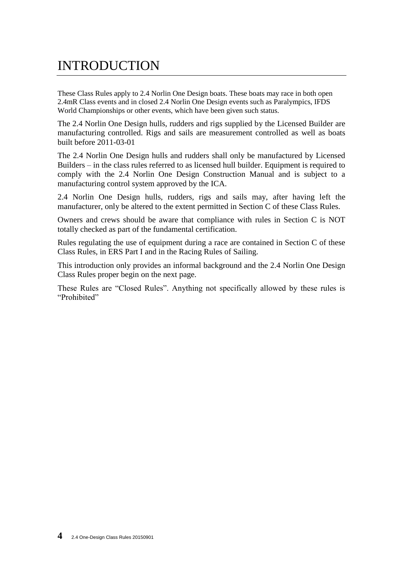## INTRODUCTION

These Class Rules apply to 2.4 Norlin One Design boats. These boats may race in both open 2.4mR Class events and in closed 2.4 Norlin One Design events such as Paralympics, IFDS World Championships or other events, which have been given such status.

The 2.4 Norlin One Design hulls, rudders and rigs supplied by the Licensed Builder are manufacturing controlled. Rigs and sails are measurement controlled as well as boats built before 2011-03-01

The 2.4 Norlin One Design hulls and rudders shall only be manufactured by Licensed Builders – in the class rules referred to as licensed hull builder. Equipment is required to comply with the 2.4 Norlin One Design Construction Manual and is subject to a manufacturing control system approved by the ICA.

2.4 Norlin One Design hulls, rudders, rigs and sails may, after having left the manufacturer, only be altered to the extent permitted in Section C of these Class Rules.

Owners and crews should be aware that compliance with rules in Section C is NOT totally checked as part of the fundamental certification.

Rules regulating the use of equipment during a race are contained in Section C of these Class Rules, in ERS Part I and in the Racing Rules of Sailing.

This introduction only provides an informal background and the 2.4 Norlin One Design Class Rules proper begin on the next page.

These Rules are "Closed Rules". Anything not specifically allowed by these rules is "Prohibited"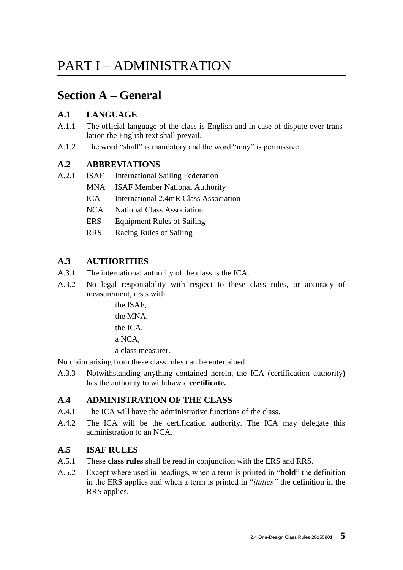## PART I – ADMINISTRATION

## **Section A – General**

## **A.1 LANGUAGE**

- A.1.1 The official language of the class is English and in case of dispute over translation the English text shall prevail.
- A.1.2 The word "shall" is mandatory and the word "may" is permissive.

## **A.2 ABBREVIATIONS**

- A.2.1 ISAF International Sailing Federation
	- MNA ISAF Member National Authority
	- ICA International 2.4mR Class Association
	- NCA National Class Association
	- ERS Equipment Rules of Sailing
	- RRS Racing Rules of Sailing

## **A.3 AUTHORITIES**

- A.3.1 The international authority of the class is the ICA.
- A.3.2 No legal responsibility with respect to these class rules, or accuracy of measurement, rests with:

the ISAF, the MNA, the ICA, a NCA, a class measurer.

No claim arising from these class rules can be entertained.

A.3.3 Notwithstanding anything contained herein, the ICA (certification authority**)** has the authority to withdraw a **certificate.**

## **A.4 ADMINISTRATION OF THE CLASS**

- A.4.1 The ICA will have the administrative functions of the class.
- A.4.2 The ICA will be the certification authority. The ICA may delegate this administration to an NCA.

### **A.5 ISAF RULES**

- A.5.1 These **class rules** shall be read in conjunction with the ERS and RRS.
- A.5.2 Except where used in headings, when a term is printed in "**bold**" the definition in the ERS applies and when a term is printed in "*italics"* the definition in the RRS applies.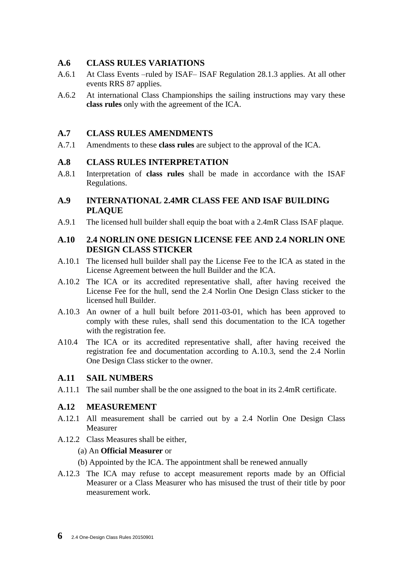### **A.6 CLASS RULES VARIATIONS**

- A.6.1 At Class Events –ruled by ISAF– ISAF Regulation 28.1.3 applies. At all other events RRS 87 applies.
- A.6.2 At international Class Championships the sailing instructions may vary these **class rules** only with the agreement of the ICA.

## **A.7 CLASS RULES AMENDMENTS**

A.7.1 Amendments to these **class rules** are subject to the approval of the ICA.

### **A.8 CLASS RULES INTERPRETATION**

- A.8.1 Interpretation of **class rules** shall be made in accordance with the ISAF Regulations.
- **A.9 INTERNATIONAL 2.4MR CLASS FEE AND ISAF BUILDING PLAQUE**
- A.9.1 The licensed hull builder shall equip the boat with a 2.4mR Class ISAF plaque.

### **A.10 2.4 NORLIN ONE DESIGN LICENSE FEE AND 2.4 NORLIN ONE DESIGN CLASS STICKER**

- A.10.1 The licensed hull builder shall pay the License Fee to the ICA as stated in the License Agreement between the hull Builder and the ICA.
- A.10.2 The ICA or its accredited representative shall, after having received the License Fee for the hull, send the 2.4 Norlin One Design Class sticker to the licensed hull Builder.
- A.10.3 An owner of a hull built before 2011-03-01, which has been approved to comply with these rules, shall send this documentation to the ICA together with the registration fee.
- A10.4 The ICA or its accredited representative shall, after having received the registration fee and documentation according to A.10.3, send the 2.4 Norlin One Design Class sticker to the owner.

#### **A.11 SAIL NUMBERS**

A.11.1 The sail number shall be the one assigned to the boat in its 2.4mR certificate.

## **A.12 MEASUREMENT**

- A.12.1 All measurement shall be carried out by a 2.4 Norlin One Design Class Measurer
- A.12.2 Class Measures shall be either,

#### (a) An **Official Measurer** or

(b) Appointed by the ICA. The appointment shall be renewed annually

A.12.3 The ICA may refuse to accept measurement reports made by an Official Measurer or a Class Measurer who has misused the trust of their title by poor measurement work.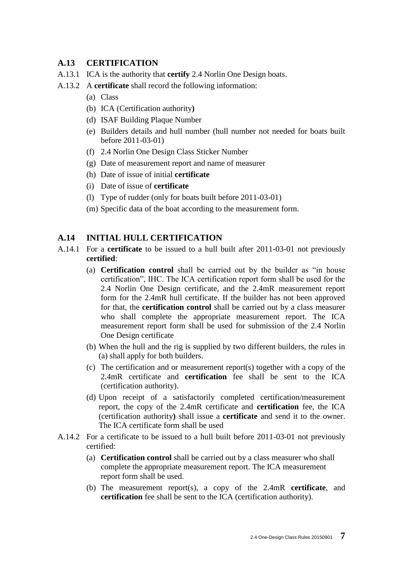### **A.13 CERTIFICATION**

- A.13.1 ICA is the authority that **certify** 2.4 Norlin One Design boats.
- A.13.2 A **certificate** shall record the following information:
	- (a) Class
	- (b) ICA (Certification authority**)**
	- (d) ISAF Building Plaque Number
	- (e) Builders details and hull number (hull number not needed for boats built before 2011-03-01)
	- (f) 2.4 Norlin One Design Class Sticker Number
	- (g) Date of measurement report and name of measurer
	- (h) Date of issue of initial **certificate**
	- (i) Date of issue of **certificate**
	- (l) Type of rudder (only for boats built before 2011-03-01)
	- (m) Specific data of the boat according to the measurement form.

#### **A.14 INITIAL HULL CERTIFICATION**

- A.14.1 For a **certificate** to be issued to a hull built after 2011-03-01 not previously **certified**:
	- (a) **Certification control** shall be carried out by the builder as "in house certification", IHC. The ICA certification report form shall be used for the 2.4 Norlin One Design certificate, and the 2.4mR measurement report form for the 2.4mR hull certificate. If the builder has not been approved for that, the **certification control** shall be carried out by a class measurer who shall complete the appropriate measurement report. The ICA measurement report form shall be used for submission of the 2.4 Norlin One Design certificate
	- (b) When the hull and the rig is supplied by two different builders, the rules in (a) shall apply for both builders.
	- (c) The certification and or measurement report(s) together with a copy of the 2.4mR certificate and **certification** fee shall be sent to the ICA (certification authority).
	- (d) Upon receipt of a satisfactorily completed certification/measurement report, the copy of the 2.4mR certificate and **certification** fee, the ICA (certification authority**)** shall issue a **certificate** and send it to the owner. The ICA certificate form shall be used
- A.14.2 For a certificate to be issued to a hull built before 2011-03-01 not previously certified:
	- (a) **Certification control** shall be carried out by a class measurer who shall complete the appropriate measurement report. The ICA measurement report form shall be used.
	- (b) The measurement report(s), a copy of the 2.4mR **certificate**, and **certification** fee shall be sent to the ICA (certification authority).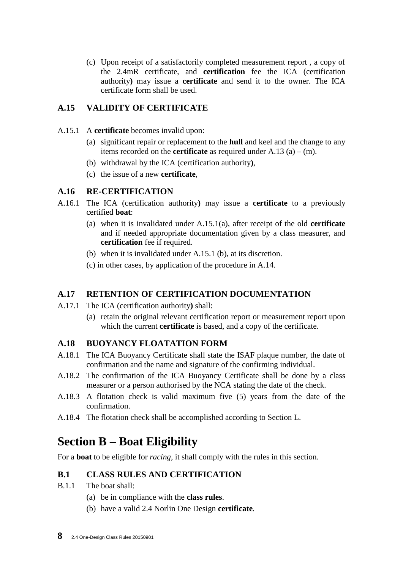(c) Upon receipt of a satisfactorily completed measurement report , a copy of the 2.4mR certificate, and **certification** fee the ICA (certification authority**)** may issue a **certificate** and send it to the owner. The ICA certificate form shall be used.

## **A.15 VALIDITY OF CERTIFICATE**

- A.15.1 A **certificate** becomes invalid upon:
	- (a) significant repair or replacement to the **hull** and keel and the change to any items recorded on the **certificate** as required under  $A.13$  (a) – (m).
	- (b) withdrawal by the ICA (certification authority**)**,
	- (c) the issue of a new **certificate**,

## **A.16 RE-CERTIFICATION**

- A.16.1 The ICA (certification authority**)** may issue a **certificate** to a previously certified **boat**:
	- (a) when it is invalidated under A.15.1(a), after receipt of the old **certificate**  and if needed appropriate documentation given by a class measurer, and **certification** fee if required.
	- (b) when it is invalidated under A.15.1 (b), at its discretion.
	- (c) in other cases, by application of the procedure in A.14.

## **A.17 RETENTION OF CERTIFICATION DOCUMENTATION**

- A.17.1 The ICA (certification authority**)** shall:
	- (a) retain the original relevant certification report or measurement report upon which the current **certificate** is based, and a copy of the certificate.

## **A.18 BUOYANCY FLOATATION FORM**

- A.18.1 The ICA Buoyancy Certificate shall state the ISAF plaque number, the date of confirmation and the name and signature of the confirming individual.
- A.18.2 The confirmation of the ICA Buoyancy Certificate shall be done by a class measurer or a person authorised by the NCA stating the date of the check.
- A.18.3 A flotation check is valid maximum five (5) years from the date of the confirmation.
- A.18.4 The flotation check shall be accomplished according to Section L.

## **Section B – Boat Eligibility**

For a **boat** to be eligible for *racing*, it shall comply with the rules in this section.

## **B.1 CLASS RULES AND CERTIFICATION**

- B.1.1 The boat shall:
	- (a) be in compliance with the **class rules**.
	- (b) have a valid 2.4 Norlin One Design **certificate**.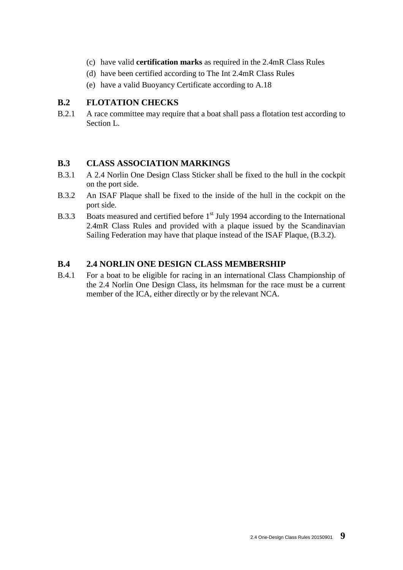- (c) have valid **certification marks** as required in the 2.4mR Class Rules
- (d) have been certified according to The Int 2.4mR Class Rules
- (e) have a valid Buoyancy Certificate according to A.18

## **B.2 FLOTATION CHECKS**

B.2.1 A race committee may require that a boat shall pass a flotation test according to Section L.

## **B.3 CLASS ASSOCIATION MARKINGS**

- B.3.1 A 2.4 Norlin One Design Class Sticker shall be fixed to the hull in the cockpit on the port side.
- B.3.2 An ISAF Plaque shall be fixed to the inside of the hull in the cockpit on the port side.
- B.3.3 Boats measured and certified before 1<sup>st</sup> July 1994 according to the International 2.4mR Class Rules and provided with a plaque issued by the Scandinavian Sailing Federation may have that plaque instead of the ISAF Plaque, (B.3.2).

## **B.4 2.4 NORLIN ONE DESIGN CLASS MEMBERSHIP**

B.4.1 For a boat to be eligible for racing in an international Class Championship of the 2.4 Norlin One Design Class, its helmsman for the race must be a current member of the ICA, either directly or by the relevant NCA.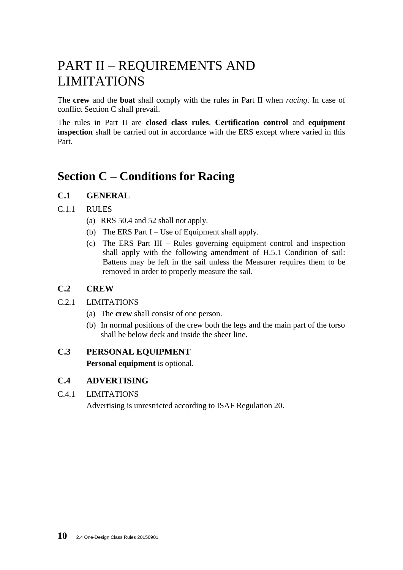## PART II – REQUIREMENTS AND LIMITATIONS

The **crew** and the **boat** shall comply with the rules in Part II when *racing*. In case of conflict Section C shall prevail.

The rules in Part II are **closed class rules**. **Certification control** and **equipment inspection** shall be carried out in accordance with the ERS except where varied in this Part.

## **Section C – Conditions for Racing**

## **C.1 GENERAL**

### C.1.1 RULES

- (a) RRS 50.4 and 52 shall not apply.
- (b) The ERS Part  $I Use$  of Equipment shall apply.
- (c) The ERS Part III Rules governing equipment control and inspection shall apply with the following amendment of H.5.1 Condition of sail: Battens may be left in the sail unless the Measurer requires them to be removed in order to properly measure the sail.

### **C.2 CREW**

- C.2.1 LIMITATIONS
	- (a) The **crew** shall consist of one person.
	- (b) In normal positions of the crew both the legs and the main part of the torso shall be below deck and inside the sheer line.

#### **C.3 PERSONAL EQUIPMENT**

**Personal equipment** is optional.

#### **C.4 ADVERTISING**

C.4.1 LIMITATIONS

Advertising is unrestricted according to ISAF Regulation 20.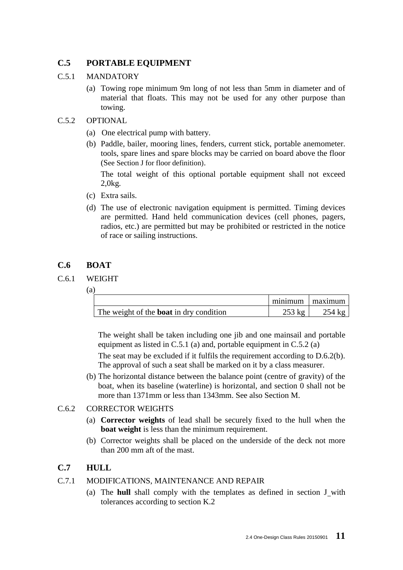## **C.5 PORTABLE EQUIPMENT**

### C.5.1 MANDATORY

(a) Towing rope minimum 9m long of not less than 5mm in diameter and of material that floats. This may not be used for any other purpose than towing.

### C.5.2 OPTIONAL

- (a) One electrical pump with battery.
- (b) Paddle, bailer, mooring lines, fenders, current stick, portable anemometer. tools, spare lines and spare blocks may be carried on board above the floor (See Section J for floor definition).

The total weight of this optional portable equipment shall not exceed 2,0kg.

- (c) Extra sails.
- (d) The use of electronic navigation equipment is permitted. Timing devices are permitted. Hand held communication devices (cell phones, pagers, radios, etc.) are permitted but may be prohibited or restricted in the notice of race or sailing instructions.

## **C.6 BOAT**

### C.6.1 WEIGHT

(a)

|                                                |          | minimum   maximum |
|------------------------------------------------|----------|-------------------|
| The weight of the <b>boat</b> in dry condition | $253$ kg | $254 \text{ kg}$  |

The weight shall be taken including one jib and one mainsail and portable equipment as listed in C.5.1 (a) and, portable equipment in C.5.2 (a)

The seat may be excluded if it fulfils the requirement according to D.6.2(b). The approval of such a seat shall be marked on it by a class measurer.

(b) The horizontal distance between the balance point (centre of gravity) of the boat, when its baseline (waterline) is horizontal, and section 0 shall not be more than 1371mm or less than 1343mm. See also Section M.

## C.6.2 CORRECTOR WEIGHTS

- (a) **Corrector weights** of lead shall be securely fixed to the hull when the **boat weight** is less than the minimum requirement.
- (b) Corrector weights shall be placed on the underside of the deck not more than 200 mm aft of the mast.

## **C.7 HULL**

## C.7.1 MODIFICATIONS, MAINTENANCE AND REPAIR

(a) The **hull** shall comply with the templates as defined in section J with tolerances according to section K.2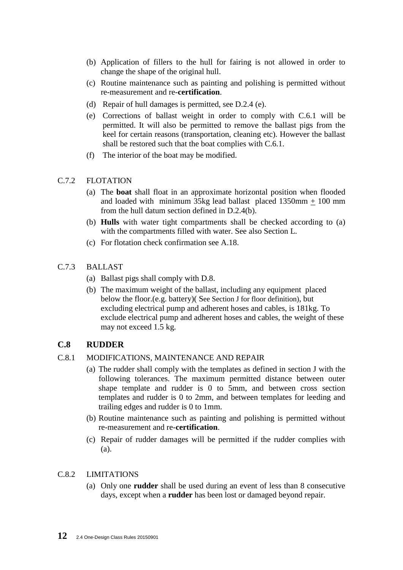- (b) Application of fillers to the hull for fairing is not allowed in order to change the shape of the original hull.
- (c) Routine maintenance such as painting and polishing is permitted without re-measurement and re-**certification**.
- (d) Repair of hull damages is permitted, see D.2.4 (e).
- (e) Corrections of ballast weight in order to comply with C.6.1 will be permitted. It will also be permitted to remove the ballast pigs from the keel for certain reasons (transportation, cleaning etc). However the ballast shall be restored such that the boat complies with C.6.1.
- (f) The interior of the boat may be modified.

#### C.7.2 FLOTATION

- (a) The **boat** shall float in an approximate horizontal position when flooded and loaded with minimum 35kg lead ballast placed 1350mm + 100 mm from the hull datum section defined in D.2.4(b).
- (b) **Hulls** with water tight compartments shall be checked according to (a) with the compartments filled with water. See also Section L.
- (c) For flotation check confirmation see A.18.
- C.7.3 BALLAST
	- (a) Ballast pigs shall comply with D.8.
	- (b) The maximum weight of the ballast, including any equipment placed below the floor.(e.g. battery)( See Section J for floor definition), but excluding electrical pump and adherent hoses and cables, is 181kg. To exclude electrical pump and adherent hoses and cables, the weight of these may not exceed 1.5 kg.

## **C.8 RUDDER**

#### C.8.1 MODIFICATIONS, MAINTENANCE AND REPAIR

- (a) The rudder shall comply with the templates as defined in section J with the following tolerances. The maximum permitted distance between outer shape template and rudder is 0 to 5mm, and between cross section templates and rudder is 0 to 2mm, and between templates for leeding and trailing edges and rudder is 0 to 1mm.
- (b) Routine maintenance such as painting and polishing is permitted without re-measurement and re-**certification**.
- (c) Repair of rudder damages will be permitted if the rudder complies with (a).

#### C.8.2 LIMITATIONS

(a) Only one **rudder** shall be used during an event of less than 8 consecutive days, except when a **rudder** has been lost or damaged beyond repair.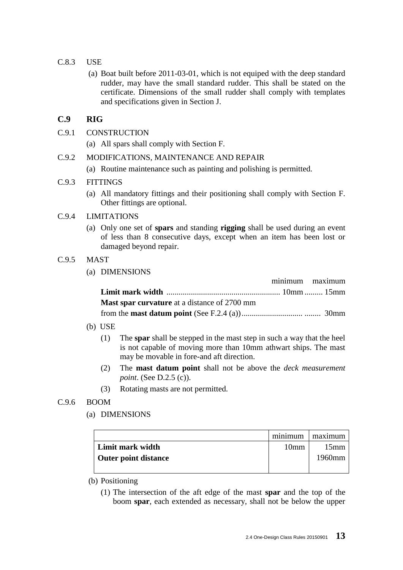- C.8.3 USE
	- (a) Boat built before 2011-03-01, which is not equiped with the deep standard rudder, may have the small standard rudder. This shall be stated on the certificate. Dimensions of the small rudder shall comply with templates and specifications given in Section J.

## **C.9 RIG**

- C.9.1 CONSTRUCTION
	- (a) All spars shall comply with Section F.

#### C.9.2 MODIFICATIONS, MAINTENANCE AND REPAIR

(a) Routine maintenance such as painting and polishing is permitted.

#### C.9.3 FITTINGS

(a) All mandatory fittings and their positioning shall comply with Section F. Other fittings are optional.

#### C.9.4 LIMITATIONS

(a) Only one set of **spars** and standing **rigging** shall be used during an event of less than 8 consecutive days, except when an item has been lost or damaged beyond repair.

#### C.9.5 MAST

(a) DIMENSIONS

|                                                     | minimum maximum |  |
|-----------------------------------------------------|-----------------|--|
|                                                     |                 |  |
| <b>Mast spar curvature</b> at a distance of 2700 mm |                 |  |
|                                                     |                 |  |

- (b) USE
	- (1) The **spar** shall be stepped in the mast step in such a way that the heel is not capable of moving more than 10mm athwart ships. The mast may be movable in fore-and aft direction.
	- (2) The **mast datum point** shall not be above the *deck measurement point.* (See D.2.5 (c)).
	- (3) Rotating masts are not permitted.

#### C.9.6 BOOM

(a) DIMENSIONS

|                      | minimum          | maximum |
|----------------------|------------------|---------|
| Limit mark width     | 10 <sub>mm</sub> | 15mm    |
| Outer point distance |                  | 1960mm  |
|                      |                  |         |

#### (b) Positioning

(1) The intersection of the aft edge of the mast **spar** and the top of the boom **spar**, each extended as necessary, shall not be below the upper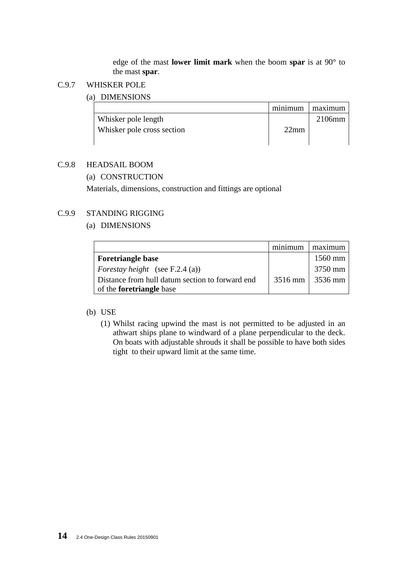edge of the mast **lower limit mark** when the boom **spar** is at 90° to the mast **spar**.

#### C.9.7 WHISKER POLE

#### (a) DIMENSIONS

|                            | minimum | maximum |
|----------------------------|---------|---------|
| Whisker pole length        |         | 2106mm  |
| Whisker pole cross section | 22mm    |         |
|                            |         |         |

### C.9.8 HEADSAIL BOOM

(a) CONSTRUCTION

Materials, dimensions, construction and fittings are optional

## C.9.9 STANDING RIGGING

#### (a) DIMENSIONS

|                                                 | maximum             |
|-------------------------------------------------|---------------------|
| <b>Foretriangle base</b>                        | $1560$ mm           |
| <i>Forestay height</i> (see F.2.4 (a))          | 3750 mm             |
| Distance from hull datum section to forward end | $3516$ mm   3536 mm |
| of the <b>foretriangle</b> base                 |                     |

#### (b) USE

(1) Whilst racing upwind the mast is not permitted to be adjusted in an athwart ships plane to windward of a plane perpendicular to the deck. On boats with adjustable shrouds it shall be possible to have both sides tight to their upward limit at the same time.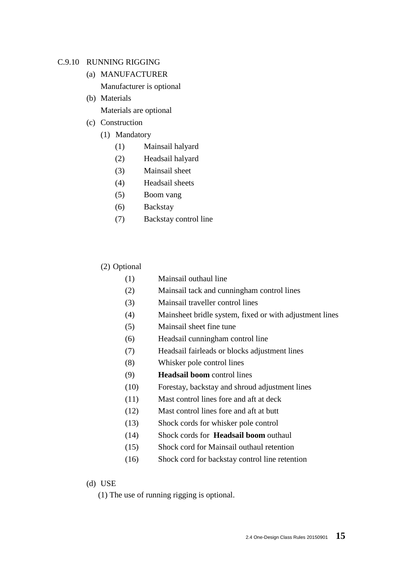#### C.9.10 RUNNING RIGGING

- (a) MANUFACTURER Manufacturer is optional
- (b) Materials Materials are optional
- (c) Construction
	- (1) Mandatory
		- (1) Mainsail halyard
		- (2) Headsail halyard
		- (3) Mainsail sheet
		- (4) Headsail sheets
		- (5) Boom vang
		- (6) Backstay
		- (7) Backstay control line

#### (2) Optional

- (1) Mainsail outhaul line
- (2) Mainsail tack and cunningham control lines
- (3) Mainsail traveller control lines
- (4) Mainsheet bridle system, fixed or with adjustment lines
- (5) Mainsail sheet fine tune
- (6) Headsail cunningham control line
- (7) Headsail fairleads or blocks adjustment lines
- (8) Whisker pole control lines
- (9) **Headsail boom** control lines
- (10) Forestay, backstay and shroud adjustment lines
- (11) Mast control lines fore and aft at deck
- (12) Mast control lines fore and aft at butt
- (13) Shock cords for whisker pole control
- (14) Shock cords for **Headsail boom** outhaul
- (15) Shock cord for Mainsail outhaul retention
- (16) Shock cord for backstay control line retention

#### (d) USE

(1) The use of running rigging is optional.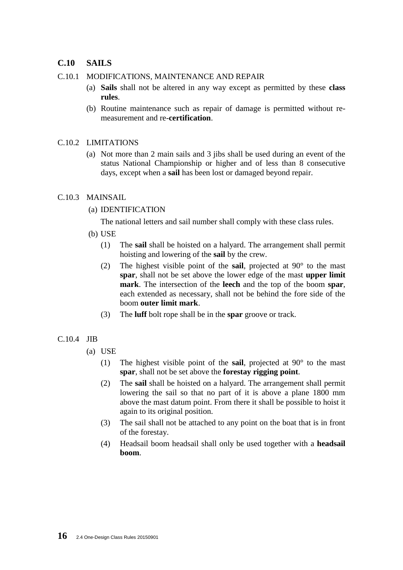### **C.10 SAILS**

#### C.10.1 MODIFICATIONS, MAINTENANCE AND REPAIR

- (a) **Sails** shall not be altered in any way except as permitted by these **class rules**.
- (b) Routine maintenance such as repair of damage is permitted without remeasurement and re-**certification**.

#### C.10.2 LIMITATIONS

(a) Not more than 2 main sails and 3 jibs shall be used during an event of the status National Championship or higher and of less than 8 consecutive days, except when a **sail** has been lost or damaged beyond repair.

#### C.10.3 MAINSAIL

(a) IDENTIFICATION

The national letters and sail number shall comply with these class rules.

- (b) USE
	- (1) The **sail** shall be hoisted on a halyard. The arrangement shall permit hoisting and lowering of the **sail** by the crew.
	- (2) The highest visible point of the **sail**, projected at 90° to the mast **spar**, shall not be set above the lower edge of the mast **upper limit mark**. The intersection of the **leech** and the top of the boom **spar**, each extended as necessary, shall not be behind the fore side of the boom **outer limit mark**.
	- (3) The **luff** bolt rope shall be in the **spar** groove or track.

#### C.10.4 JIB

- (a) USE
	- (1) The highest visible point of the **sail**, projected at 90° to the mast **spar**, shall not be set above the **forestay rigging point**.
	- (2) The **sail** shall be hoisted on a halyard. The arrangement shall permit lowering the sail so that no part of it is above a plane 1800 mm above the mast datum point. From there it shall be possible to hoist it again to its original position.
	- (3) The sail shall not be attached to any point on the boat that is in front of the forestay.
	- (4) Headsail boom headsail shall only be used together with a **headsail boom**.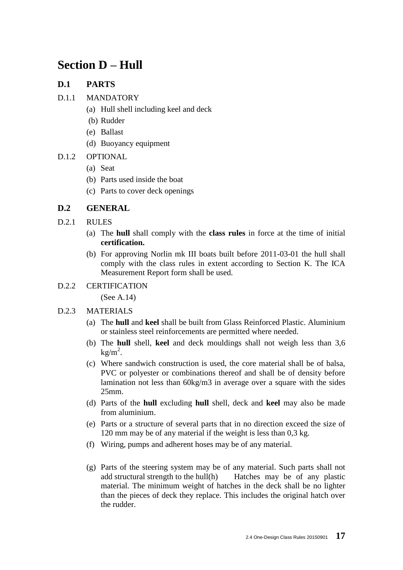## **Section D – Hull**

## **D.1 PARTS**

- D.1.1 MANDATORY
	- (a) Hull shell including keel and deck
	- (b) Rudder
	- (e) Ballast
	- (d) Buoyancy equipment
- D.1.2 OPTIONAL
	- (a) Seat
	- (b) Parts used inside the boat
	- (c) Parts to cover deck openings

## **D.2 GENERAL**

- D.2.1 RULES
	- (a) The **hull** shall comply with the **class rules** in force at the time of initial **certification.**
	- (b) For approving Norlin mk III boats built before 2011-03-01 the hull shall comply with the class rules in extent according to Section K. The ICA Measurement Report form shall be used.
- D.2.2 CERTIFICATION

(See A.14)

#### D.2.3 MATERIALS

- (a) The **hull** and **keel** shall be built from Glass Reinforced Plastic. Aluminium or stainless steel reinforcements are permitted where needed.
- (b) The **hull** shell, **keel** and deck mouldings shall not weigh less than 3,6  $kg/m<sup>2</sup>$ .
- (c) Where sandwich construction is used, the core material shall be of balsa, PVC or polyester or combinations thereof and shall be of density before lamination not less than 60kg/m3 in average over a square with the sides 25mm.
- (d) Parts of the **hull** excluding **hull** shell, deck and **keel** may also be made from aluminium.
- (e) Parts or a structure of several parts that in no direction exceed the size of 120 mm may be of any material if the weight is less than 0,3 kg.
- (f) Wiring, pumps and adherent hoses may be of any material.
- (g) Parts of the steering system may be of any material. Such parts shall not add structural strength to the hull(h) Hatches may be of any plastic material. The minimum weight of hatches in the deck shall be no lighter than the pieces of deck they replace. This includes the original hatch over the rudder.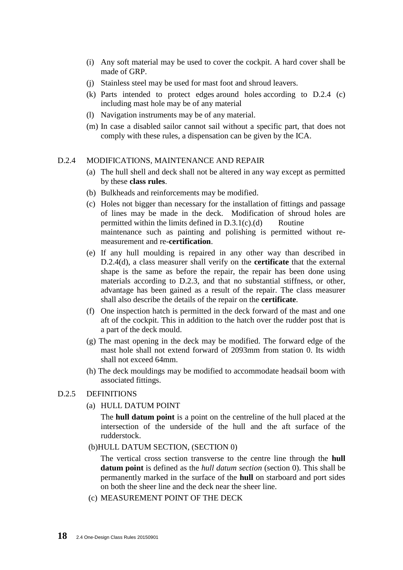- (i) Any soft material may be used to cover the cockpit. A hard cover shall be made of GRP.
- (j) Stainless steel may be used for mast foot and shroud leavers.
- (k) Parts intended to protect edges around holes according to D.2.4 (c) including mast hole may be of any material
- (l) Navigation instruments may be of any material.
- (m) In case a disabled sailor cannot sail without a specific part, that does not comply with these rules, a dispensation can be given by the ICA.

#### D.2.4 MODIFICATIONS, MAINTENANCE AND REPAIR

- (a) The hull shell and deck shall not be altered in any way except as permitted by these **class rules**.
- (b) Bulkheads and reinforcements may be modified.
- (c) Holes not bigger than necessary for the installation of fittings and passage of lines may be made in the deck. Modification of shroud holes are permitted within the limits defined in  $D.3.1(c)(d)$  Routine maintenance such as painting and polishing is permitted without remeasurement and re-**certification**.
- (e) If any hull moulding is repaired in any other way than described in D.2.4(d), a class measurer shall verify on the **certificate** that the external shape is the same as before the repair, the repair has been done using materials according to D.2.3, and that no substantial stiffness, or other, advantage has been gained as a result of the repair. The class measurer shall also describe the details of the repair on the **certificate**.
- (f) One inspection hatch is permitted in the deck forward of the mast and one aft of the cockpit. This in addition to the hatch over the rudder post that is a part of the deck mould.
- (g) The mast opening in the deck may be modified. The forward edge of the mast hole shall not extend forward of 2093mm from station 0. Its width shall not exceed 64mm.
- (h) The deck mouldings may be modified to accommodate headsail boom with associated fittings.

#### D.2.5 DEFINITIONS

(a) HULL DATUM POINT

The **hull datum point** is a point on the centreline of the hull placed at the intersection of the underside of the hull and the aft surface of the rudderstock.

(b)HULL DATUM SECTION, (SECTION 0)

The vertical cross section transverse to the centre line through the **hull datum point** is defined as the *hull datum section* (section 0). This shall be permanently marked in the surface of the **hull** on starboard and port sides on both the sheer line and the deck near the sheer line.

(c) MEASUREMENT POINT OF THE DECK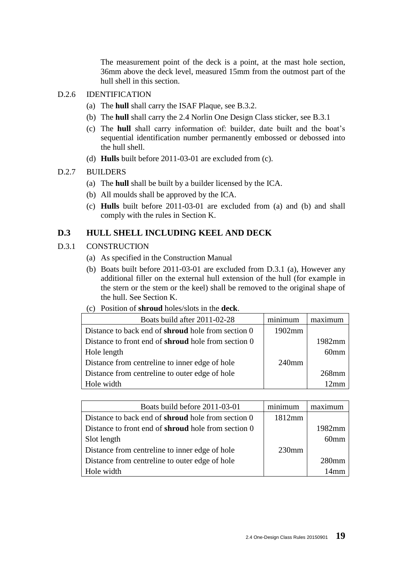The measurement point of the deck is a point, at the mast hole section, 36mm above the deck level, measured 15mm from the outmost part of the hull shell in this section.

- D.2.6 IDENTIFICATION
	- (a) The **hull** shall carry the ISAF Plaque, see B.3.2.
	- (b) The **hull** shall carry the 2.4 Norlin One Design Class sticker, see B.3.1
	- (c) The **hull** shall carry information of: builder, date built and the boat's sequential identification number permanently embossed or debossed into the hull shell.
	- (d) **Hulls** built before 2011-03-01 are excluded from (c).

#### D.2.7 BUILDERS

- (a) The **hull** shall be built by a builder licensed by the ICA.
- (b) All moulds shall be approved by the ICA.
- (c) **Hulls** built before 2011-03-01 are excluded from (a) and (b) and shall comply with the rules in Section K.

#### **D.3 HULL SHELL INCLUDING KEEL AND DECK**

- D.3.1 CONSTRUCTION
	- (a) As specified in the Construction Manual
	- (b) Boats built before 2011-03-01 are excluded from D.3.1 (a), However any additional filler on the external hull extension of the hull (for example in the stern or the stem or the keel) shall be removed to the original shape of the hull. See Section K.
	- (c) Position of **shroud** holes/slots in the **deck**.

| Boats build after 2011-02-28                               | minimum  |                  |
|------------------------------------------------------------|----------|------------------|
| Distance to back end of <b>shroud</b> hole from section 0  | 1902mm   |                  |
| Distance to front end of <b>shroud</b> hole from section 0 |          | 1982mm           |
| Hole length                                                |          | 60 <sub>mm</sub> |
| Distance from centreline to inner edge of hole             | $240$ mm |                  |
| Distance from centreline to outer edge of hole             |          | $268$ mm         |
| Hole width                                                 |          |                  |

| Boats build before 2011-03-01                              | minimum  | maximum          |
|------------------------------------------------------------|----------|------------------|
| Distance to back end of <b>shroud</b> hole from section 0  | 1812mm   |                  |
| Distance to front end of <b>shroud</b> hole from section 0 |          | 1982mm           |
| Slot length                                                |          | 60 <sub>mm</sub> |
| Distance from centreline to inner edge of hole             | $230$ mm |                  |
| Distance from centreline to outer edge of hole             |          | $280$ mm         |
| Hole width                                                 |          | 14mm             |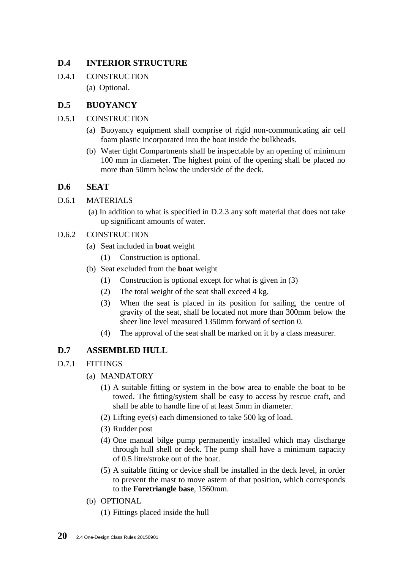## **D.4 INTERIOR STRUCTURE**

D.4.1 CONSTRUCTION (a) Optional.

## **D.5 BUOYANCY**

- D.5.1 CONSTRUCTION
	- (a) Buoyancy equipment shall comprise of rigid non-communicating air cell foam plastic incorporated into the boat inside the bulkheads.
	- (b) Water tight Compartments shall be inspectable by an opening of minimum 100 mm in diameter. The highest point of the opening shall be placed no more than 50mm below the underside of the deck.

## **D.6 SEAT**

- D.6.1 MATERIALS
	- (a) In addition to what is specified in D.2.3 any soft material that does not take up significant amounts of water.
- D.6.2 CONSTRUCTION
	- (a) Seat included in **boat** weight
		- (1) Construction is optional.
	- (b) Seat excluded from the **boat** weight
		- (1) Construction is optional except for what is given in (3)
		- (2) The total weight of the seat shall exceed 4 kg.
		- (3) When the seat is placed in its position for sailing, the centre of gravity of the seat, shall be located not more than 300mm below the sheer line level measured 1350mm forward of section 0.
		- (4) The approval of the seat shall be marked on it by a class measurer.

## **D.7 ASSEMBLED HULL**

- D.7.1 FITTINGS
	- (a) MANDATORY
		- (1) A suitable fitting or system in the bow area to enable the boat to be towed. The fitting/system shall be easy to access by rescue craft, and shall be able to handle line of at least 5mm in diameter.
		- (2) Lifting eye(s) each dimensioned to take 500 kg of load.
		- (3) Rudder post
		- (4) One manual bilge pump permanently installed which may discharge through hull shell or deck. The pump shall have a minimum capacity of 0.5 litre/stroke out of the boat.
		- (5) A suitable fitting or device shall be installed in the deck level, in order to prevent the mast to move astern of that position, which corresponds to the **Foretriangle base**, 1560mm.
	- (b) OPTIONAL
		- (1) Fittings placed inside the hull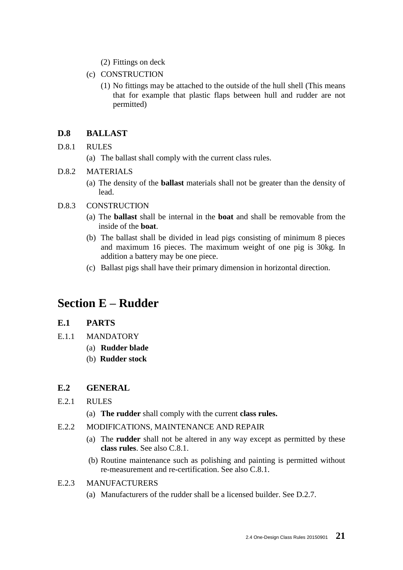- (2) Fittings on deck
- (c) CONSTRUCTION
	- (1) No fittings may be attached to the outside of the hull shell (This means that for example that plastic flaps between hull and rudder are not permitted)

### **D.8 BALLAST**

- D.8.1 RULES
	- (a) The ballast shall comply with the current class rules.

#### D.8.2 MATERIALS

(a) The density of the **ballast** materials shall not be greater than the density of lead.

#### D.8.3 CONSTRUCTION

- (a) The **ballast** shall be internal in the **boat** and shall be removable from the inside of the **boat**.
- (b) The ballast shall be divided in lead pigs consisting of minimum 8 pieces and maximum 16 pieces. The maximum weight of one pig is 30kg. In addition a battery may be one piece.
- (c) Ballast pigs shall have their primary dimension in horizontal direction.

## **Section E – Rudder**

### **E.1 PARTS**

- E.1.1 MANDATORY
	- (a) **Rudder blade**
	- (b) **Rudder stock**

#### **E.2 GENERAL**

- E.2.1 RULES
	- (a) **The rudder** shall comply with the current **class rules.**
- E.2.2 MODIFICATIONS, MAINTENANCE AND REPAIR
	- (a) The **rudder** shall not be altered in any way except as permitted by these **class rules**. See also C.8.1.
	- (b) Routine maintenance such as polishing and painting is permitted without re-measurement and re-certification. See also C.8.1.
- E.2.3 MANUFACTURERS
	- (a) Manufacturers of the rudder shall be a licensed builder. See D.2.7.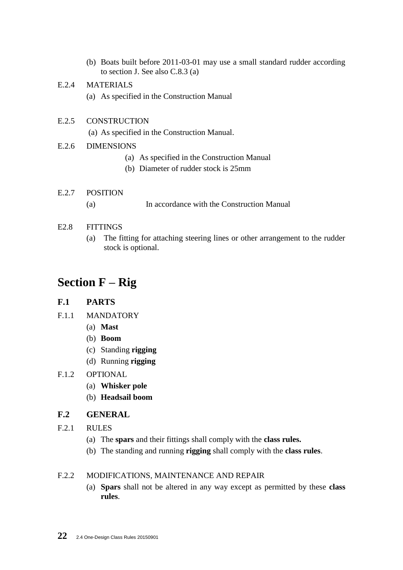(b) Boats built before 2011-03-01 may use a small standard rudder according to section J. See also C.8.3 (a)

### E.2.4 MATERIALS

(a) As specified in the Construction Manual

#### E.2.5 CONSTRUCTION

(a) As specified in the Construction Manual.

#### E.2.6 DIMENSIONS

- (a) As specified in the Construction Manual
- (b) Diameter of rudder stock is 25mm
- E.2.7 POSITION (a) In accordance with the Construction Manual

#### E2.8 FITTINGS

(a) The fitting for attaching steering lines or other arrangement to the rudder stock is optional.

## **Section F – Rig**

### **F.1 PARTS**

- F.1.1 MANDATORY
	- (a) **Mast**
	- (b) **Boom**
	- (c) Standing **rigging**
	- (d) Running **rigging**

#### F.1.2 OPTIONAL

- (a) **Whisker pole**
- (b) **Headsail boom**

#### **F.2 GENERAL**

- F.2.1 RULES
	- (a) The **spars** and their fittings shall comply with the **class rules.**
	- (b) The standing and running **rigging** shall comply with the **class rules**.

#### F.2.2 MODIFICATIONS, MAINTENANCE AND REPAIR

(a) **Spars** shall not be altered in any way except as permitted by these **class rules**.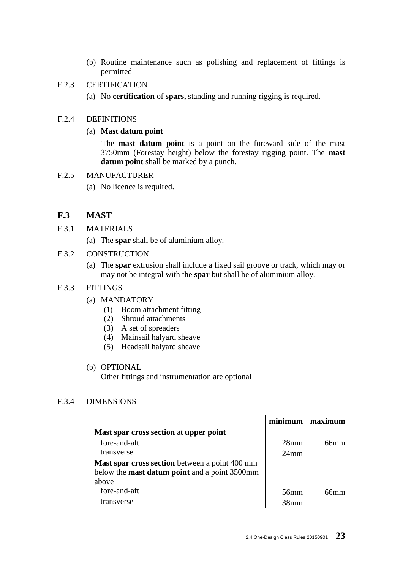- (b) Routine maintenance such as polishing and replacement of fittings is permitted
- F.2.3 CERTIFICATION
	- (a) No **certification** of **spars,** standing and running rigging is required.

#### F.2.4 DEFINITIONS

#### (a) **Mast datum point**

The **mast datum point** is a point on the foreward side of the mast 3750mm (Forestay height) below the forestay rigging point. The **mast datum point** shall be marked by a punch.

#### F.2.5 MANUFACTURER

(a) No licence is required.

## **F.3 MAST**

- F.3.1 MATERIALS
	- (a) The **spar** shall be of aluminium alloy.
- F.3.2 CONSTRUCTION
	- (a) The **spar** extrusion shall include a fixed sail groove or track, which may or may not be integral with the **spar** but shall be of aluminium alloy.

#### F.3.3 FITTINGS

- (a) MANDATORY
	- (1) Boom attachment fitting
	- (2) Shroud attachments
	- (3) A set of spreaders
	- (4) Mainsail halyard sheave
	- (5) Headsail halyard sheave

#### (b) OPTIONAL

Other fittings and instrumentation are optional

#### F.3.4 DIMENSIONS

|                                                      | minimum          | maximum |
|------------------------------------------------------|------------------|---------|
| Mast spar cross section at upper point               |                  |         |
| fore-and-aft                                         | 28 <sub>mm</sub> | 66mm    |
| transverse                                           | $24$ mm          |         |
| Mast spar cross section between a point 400 mm       |                  |         |
| below the <b>mast datum point</b> and a point 3500mm |                  |         |
| above                                                |                  |         |
| fore-and-aft                                         | $56$ mm          |         |
| transverse                                           | 38mm             |         |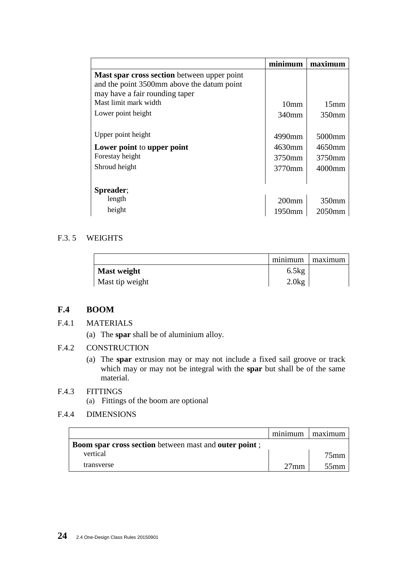|                                                                                                                             | minimum          | maximum            |
|-----------------------------------------------------------------------------------------------------------------------------|------------------|--------------------|
| Mast spar cross section between upper point<br>and the point 3500mm above the datum point<br>may have a fair rounding taper |                  |                    |
| Mast limit mark width                                                                                                       | 10 <sub>mm</sub> | 15 <sub>mm</sub>   |
| Lower point height                                                                                                          | 340mm            | 350 <sub>mm</sub>  |
| Upper point height                                                                                                          | 4990mm           | 5000mm             |
| Lower point to upper point                                                                                                  | 4630mm           | 4650mm             |
| Forestay height                                                                                                             | 3750mm           | 3750mm             |
| Shroud height                                                                                                               | 3770mm           | 4000mm             |
| Spreader;                                                                                                                   |                  |                    |
| length                                                                                                                      | $200$ mm         | 350 <sub>mm</sub>  |
| height                                                                                                                      | 1950mm           | 2050 <sub>mm</sub> |

#### F.3. 5 WEIGHTS

|                    | minimum | maximum l |
|--------------------|---------|-----------|
| <b>Mast weight</b> | 6.5kg   |           |
| Mast tip weight    | 2.0kg   |           |

## **F.4 BOOM**

- F.4.1 MATERIALS
	- (a) The **spar** shall be of aluminium alloy.
- F.4.2 CONSTRUCTION
	- (a) The **spar** extrusion may or may not include a fixed sail groove or track which may or may not be integral with the **spar** but shall be of the same material.

### F.4.3 FITTINGS

(a) Fittings of the boom are optional

## F.4.4 DIMENSIONS

|                                                                      | minimum        | maximum |
|----------------------------------------------------------------------|----------------|---------|
| <b>Boom spar cross section</b> between mast and <b>outer point</b> ; |                |         |
| vertical                                                             |                | $75$ mm |
| transverse                                                           | $27 \text{mm}$ | $55$ mm |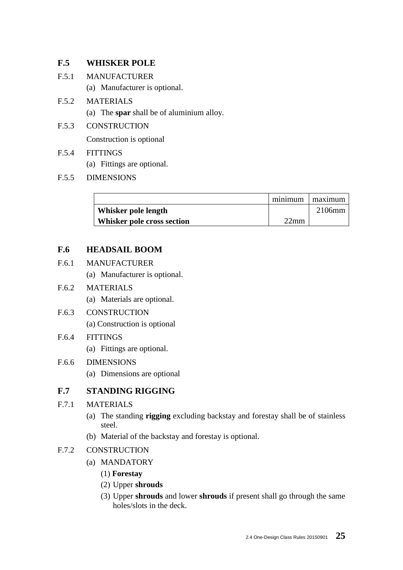## **F.5 WHISKER POLE**

- F.5.1 MANUFACTURER
	- (a) Manufacturer is optional.
- F.5.2 MATERIALS
	- (a) The **spar** shall be of aluminium alloy.
- F.5.3 CONSTRUCTION

Construction is optional

- F.5.4 FITTINGS
	- (a) Fittings are optional.
- F.5.5 DIMENSIONS

|                            | minimum | maximum |
|----------------------------|---------|---------|
| Whisker pole length        |         | 2106mm  |
| Whisker pole cross section | $22$ mm |         |

## **F.6 HEADSAIL BOOM**

- F.6.1 MANUFACTURER
	- (a) Manufacturer is optional.

### F.6.2 MATERIALS

- (a) Materials are optional.
- F.6.3 CONSTRUCTION
	- (a) Construction is optional

#### F.6.4 FITTINGS

(a) Fittings are optional.

#### F.6.6 DIMENSIONS

(a) Dimensions are optional

## **F.7 STANDING RIGGING**

## F.7.1 MATERIALS

- (a) The standing **rigging** excluding backstay and forestay shall be of stainless steel.
- (b) Material of the backstay and forestay is optional.

### F.7.2 CONSTRUCTION

- (a) MANDATORY
	- (1) **Forestay**
	- (2) Upper **shrouds**
	- (3) Upper **shrouds** and lower **shrouds** if present shall go through the same holes/slots in the deck.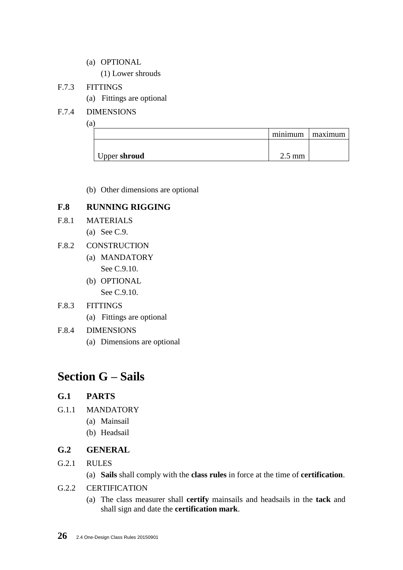(a) OPTIONAL

(1) Lower shrouds

## F.7.3 FITTINGS

(a) Fittings are optional

## F.7.4 DIMENSIONS

(a)

|              | minimum maximum  |  |
|--------------|------------------|--|
|              |                  |  |
| Upper shroud | $2.5 \text{ mm}$ |  |
|              |                  |  |

(b) Other dimensions are optional

## **F.8 RUNNING RIGGING**

- F.8.1 MATERIALS
	- (a) See C.9.
- F.8.2 CONSTRUCTION
	- (a) MANDATORY See C.9.10.
	- (b) OPTIONAL See C.9.10.

## F.8.3 FITTINGS

(a) Fittings are optional

## F.8.4 DIMENSIONS

(a) Dimensions are optional

## **Section G – Sails**

## **G.1 PARTS**

- G.1.1 MANDATORY
	- (a) Mainsail
	- (b) Headsail

## **G.2 GENERAL**

- G.2.1 RULES
	- (a) **Sails** shall comply with the **class rules** in force at the time of **certification**.
- G.2.2 CERTIFICATION
	- (a) The class measurer shall **certify** mainsails and headsails in the **tack** and shall sign and date the **certification mark**.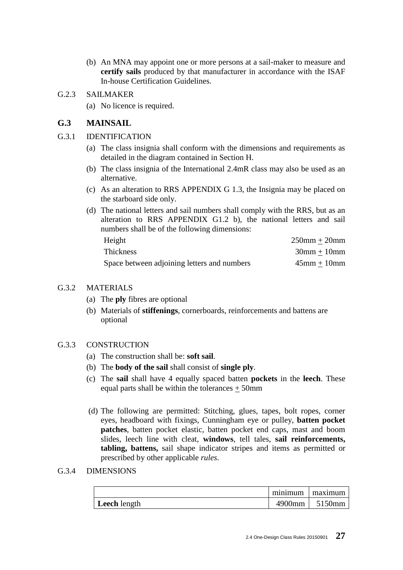(b) An MNA may appoint one or more persons at a sail-maker to measure and **certify sails** produced by that manufacturer in accordance with the ISAF In-house Certification Guidelines.

#### G.2.3 SAILMAKER

(a) No licence is required.

### **G.3 MAINSAIL**

- G.3.1 IDENTIFICATION
	- (a) The class insignia shall conform with the dimensions and requirements as detailed in the diagram contained in Section H.
	- (b) The class insignia of the International 2.4mR class may also be used as an alternative.
	- (c) As an alteration to RRS APPENDIX G 1.3, the Insignia may be placed on the starboard side only.
	- (d) The national letters and sail numbers shall comply with the RRS, but as an alteration to RRS APPENDIX G1.2 b), the national letters and sail numbers shall be of the following dimensions:

| Height                                      | $250$ mm + $20$ mm |
|---------------------------------------------|--------------------|
| <b>Thickness</b>                            | $30$ mm + $10$ mm  |
| Space between adjoining letters and numbers | $45$ mm + 10mm     |

#### G.3.2 MATERIALS

- (a) The **ply** fibres are optional
- (b) Materials of **stiffenings**, cornerboards, reinforcements and battens are optional

#### G.3.3 CONSTRUCTION

- (a) The construction shall be: **soft sail**.
- (b) The **body of the sail** shall consist of **single ply**.
- (c) The **sail** shall have 4 equally spaced batten **pockets** in the **leech**. These equal parts shall be within the tolerances  $\pm$  50mm
- (d) The following are permitted: Stitching, glues, tapes, bolt ropes, corner eyes, headboard with fixings, Cunningham eye or pulley, **batten pocket patches**, batten pocket elastic, batten pocket end caps, mast and boom slides, leech line with cleat, **windows**, tell tales, **sail reinforcements, tabling, battens,** sail shape indicator stripes and items as permitted or prescribed by other applicable *rules*.

#### G.3.4 DIMENSIONS

|              | minimum | maximum |
|--------------|---------|---------|
| Leech length | 4900mm  | 5150mm  |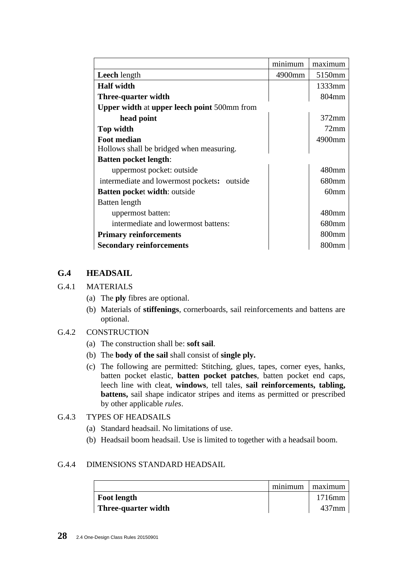|                                                    | minimum | maximum   |
|----------------------------------------------------|---------|-----------|
| <b>Leech</b> length                                | 4900mm  | 5150mm    |
| <b>Half width</b>                                  |         | $1333$ mm |
| Three-quarter width                                |         | 804mm     |
| <b>Upper width at upper leech point 500mm from</b> |         |           |
| head point                                         |         | $372$ mm  |
| Top width                                          |         | $72$ mm   |
| <b>Foot median</b>                                 |         | 4900mm    |
| Hollows shall be bridged when measuring.           |         |           |
| <b>Batten pocket length:</b>                       |         |           |
| uppermost pocket: outside                          |         | 480mm     |
| intermediate and lowermost pockets: outside        |         | 680mm     |
| <b>Batten pocket width: outside</b>                |         | $60$ mm   |
| Batten length                                      |         |           |
| uppermost batten:                                  |         | 480mm     |
| intermediate and lowermost battens:                |         | 680mm     |
| <b>Primary reinforcements</b>                      |         | 800mm     |
| <b>Secondary reinforcements</b>                    |         | 800mm     |

## **G.4 HEADSAIL**

#### G.4.1 MATERIALS

- (a) The **ply** fibres are optional.
- (b) Materials of **stiffenings**, cornerboards, sail reinforcements and battens are optional.

#### G.4.2 CONSTRUCTION

- (a) The construction shall be: **soft sail**.
- (b) The **body of the sail** shall consist of **single ply.**
- (c) The following are permitted: Stitching, glues, tapes, corner eyes, hanks, batten pocket elastic, **batten pocket patches**, batten pocket end caps, leech line with cleat, **windows**, tell tales, **sail reinforcements, tabling, battens,** sail shape indicator stripes and items as permitted or prescribed by other applicable *rules*.

### G.4.3 TYPES OF HEADSAILS

- (a) Standard headsail. No limitations of use.
- (b) Headsail boom headsail. Use is limited to together with a headsail boom.

#### G.4.4 DIMENSIONS STANDARD HEADSAIL

|                     | minimum | maximum  |
|---------------------|---------|----------|
| <b>Foot length</b>  |         | 1716mm   |
| Three-quarter width |         | $437$ mm |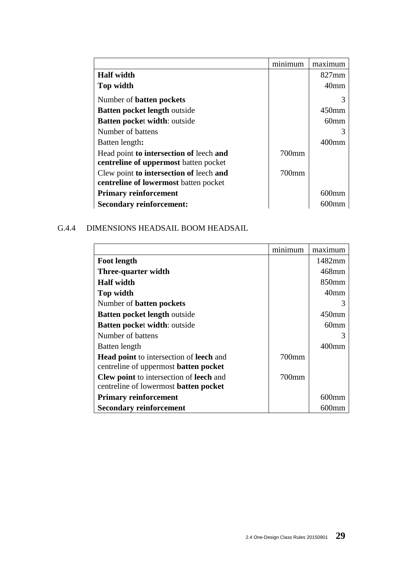|                                         | minimum | maximum          |
|-----------------------------------------|---------|------------------|
| <b>Half width</b>                       |         | $827$ mm         |
| Top width                               |         | 40 <sub>mm</sub> |
| Number of <b>batten</b> pockets         |         | 3                |
| <b>Batten pocket length outside</b>     |         | $450$ mm         |
| <b>Batten pocket width: outside</b>     |         | 60 <sub>mm</sub> |
| Number of battens                       |         | 3                |
| Batten length:                          |         | 400mm            |
| Head point to intersection of leech and | 700mm   |                  |
| centreline of uppermost batten pocket   |         |                  |
| Clew point to intersection of leech and | 700mm   |                  |
| centreline of lowermost batten pocket   |         |                  |
| <b>Primary reinforcement</b>            |         | $600$ mm         |
| <b>Secondary reinforcement:</b>         |         | m                |

## G.4.4 DIMENSIONS HEADSAIL BOOM HEADSAIL

|                                                                                                       | minimum | maximum           |
|-------------------------------------------------------------------------------------------------------|---------|-------------------|
| <b>Foot length</b>                                                                                    |         | 1482mm            |
| Three-quarter width                                                                                   |         | 468mm             |
| <b>Half</b> width                                                                                     |         | 850 <sub>mm</sub> |
| Top width                                                                                             |         | 40 <sub>mm</sub>  |
| Number of <b>batten</b> pockets                                                                       |         | 3                 |
| <b>Batten pocket length outside</b>                                                                   |         | $450$ mm          |
| <b>Batten pocket width: outside</b>                                                                   |         | 60mm              |
| Number of battens                                                                                     |         |                   |
| Batten length                                                                                         |         | 400mm             |
| <b>Head point</b> to intersection of <b>leech</b> and<br>centreline of uppermost <b>batten pocket</b> | 700mm   |                   |
| <b>Clew point</b> to intersection of <b>leech</b> and<br>centreline of lowermost batten pocket        | 700mm   |                   |
| <b>Primary reinforcement</b>                                                                          |         | 600mm             |
| <b>Secondary reinforcement</b>                                                                        |         |                   |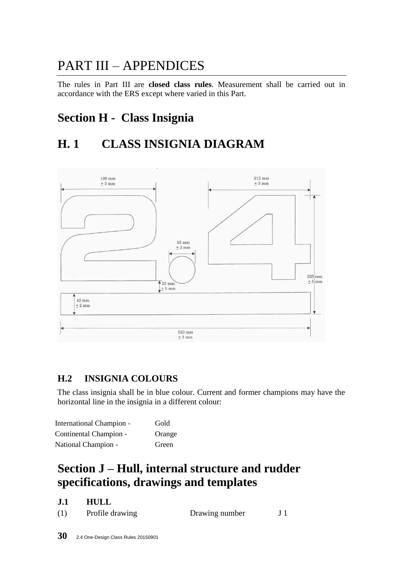## PART III – APPENDICES

The rules in Part III are **closed class rules**. Measurement shall be carried out in accordance with the ERS except where varied in this Part.

## **Section H - Class Insignia**

## **H. 1 CLASS INSIGNIA DIAGRAM**



## **H.2 INSIGNIA COLOURS**

The class insignia shall be in blue colour. Current and former champions may have the horizontal line in the insignia in a different colour:

| <b>International Champion -</b> | Gold   |
|---------------------------------|--------|
| Continental Champion -          | Orange |
| National Champion -             | Green  |

## **Section J – Hull, internal structure and rudder specifications, drawings and templates**

| ---- |                 |                |  |
|------|-----------------|----------------|--|
| (1)  | Profile drawing | Drawing number |  |

**J.1 HULL**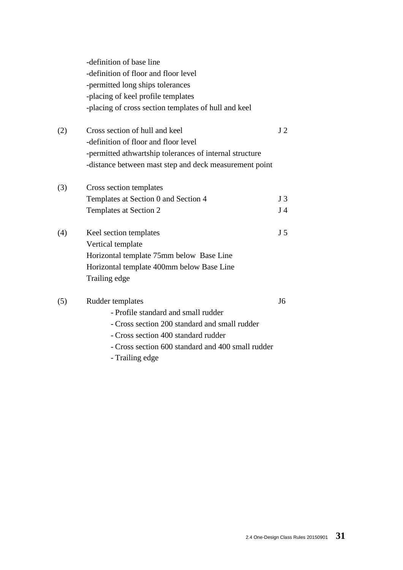|     | -definition of base line<br>-definition of floor and floor level<br>-permitted long ships tolerances<br>-placing of keel profile templates<br>-placing of cross section templates of hull and keel                                                                                                                                                          |                |
|-----|-------------------------------------------------------------------------------------------------------------------------------------------------------------------------------------------------------------------------------------------------------------------------------------------------------------------------------------------------------------|----------------|
| (2) | Cross section of hull and keel<br>-definition of floor and floor level                                                                                                                                                                                                                                                                                      | J <sub>2</sub> |
|     | -permitted athwartship tolerances of internal structure                                                                                                                                                                                                                                                                                                     |                |
|     | -distance between mast step and deck measurement point                                                                                                                                                                                                                                                                                                      |                |
| (3) | Cross section templates                                                                                                                                                                                                                                                                                                                                     |                |
|     | Templates at Section 0 and Section 4                                                                                                                                                                                                                                                                                                                        | J <sub>3</sub> |
|     | Templates at Section 2                                                                                                                                                                                                                                                                                                                                      | J <sub>4</sub> |
| (4) | Keel section templates                                                                                                                                                                                                                                                                                                                                      | J <sub>5</sub> |
|     | Vertical template                                                                                                                                                                                                                                                                                                                                           |                |
|     | Horizontal template 75mm below Base Line                                                                                                                                                                                                                                                                                                                    |                |
|     | Horizontal template 400mm below Base Line                                                                                                                                                                                                                                                                                                                   |                |
|     | Trailing edge                                                                                                                                                                                                                                                                                                                                               |                |
| (5) | Rudder templates                                                                                                                                                                                                                                                                                                                                            | J <sub>6</sub> |
|     | - Profile standard and small rudder                                                                                                                                                                                                                                                                                                                         |                |
|     | - Cross section 200 standard and small rudder                                                                                                                                                                                                                                                                                                               |                |
|     | $\mathcal{L}$ $\mathcal{L}$ $\mathcal{L}$ $\mathcal{L}$ $\mathcal{L}$ $\mathcal{L}$ $\mathcal{L}$ $\mathcal{L}$ $\mathcal{L}$ $\mathcal{L}$ $\mathcal{L}$ $\mathcal{L}$ $\mathcal{L}$ $\mathcal{L}$ $\mathcal{L}$ $\mathcal{L}$ $\mathcal{L}$ $\mathcal{L}$ $\mathcal{L}$ $\mathcal{L}$ $\mathcal{L}$ $\mathcal{L}$ $\mathcal{L}$ $\mathcal{L}$ $\mathcal{$ |                |

- Cross section 400 standard rudder
- Cross section 600 standard and 400 small rudder
- Trailing edge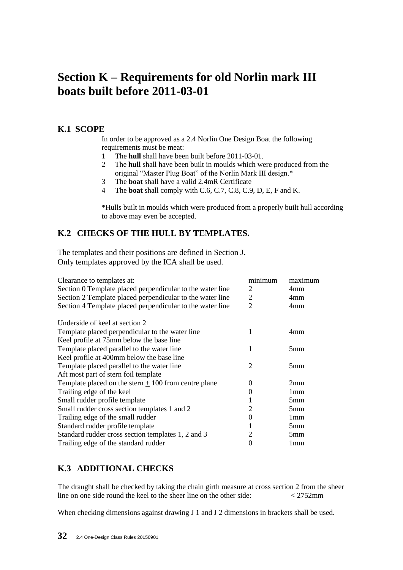## **Section K – Requirements for old Norlin mark III boats built before 2011-03-01**

## **K.1 SCOPE**

In order to be approved as a 2.4 Norlin One Design Boat the following requirements must be meat:

- 1 The **hull** shall have been built before 2011-03-01.
- 2 The **hull** shall have been built in moulds which were produced from the original "Master Plug Boat" of the Norlin Mark III design.\*
- 3 The **boat** shall have a valid 2.4mR Certificate
- 4 The **boat** shall comply with C.6, C.7, C.8, C.9, D, E, F and K.

\*Hulls built in moulds which were produced from a properly built hull according to above may even be accepted.

## **K.2 CHECKS OF THE HULL BY TEMPLATES.**

The templates and their positions are defined in Section J. Only templates approved by the ICA shall be used.

| Clearance to templates at:<br>Section 0 Template placed perpendicular to the water line<br>Section 2 Template placed perpendicular to the water line | minimum<br>2<br>2           | maximum<br>4mm<br>4mm |
|------------------------------------------------------------------------------------------------------------------------------------------------------|-----------------------------|-----------------------|
| Section 4 Template placed perpendicular to the water line                                                                                            | 2                           | 4mm                   |
| Underside of keel at section 2                                                                                                                       |                             |                       |
| Template placed perpendicular to the water line                                                                                                      | 1                           | 4mm                   |
| Keel profile at 75mm below the base line                                                                                                             |                             |                       |
| Template placed parallel to the water line                                                                                                           | 1                           | 5 <sub>mm</sub>       |
| Keel profile at 400mm below the base line                                                                                                            |                             |                       |
| Template placed parallel to the water line                                                                                                           | $\mathcal{D}_{\mathcal{L}}$ | 5 <sub>mm</sub>       |
| Aft most part of stern foil template                                                                                                                 |                             |                       |
| Template placed on the stern $\pm$ 100 from centre plane                                                                                             | $\Omega$                    | 2mm                   |
| Trailing edge of the keel                                                                                                                            | 0                           | 1mm                   |
| Small rudder profile template                                                                                                                        |                             | 5 <sub>mm</sub>       |
| Small rudder cross section templates 1 and 2                                                                                                         | 2                           | 5 <sub>mm</sub>       |
| Trailing edge of the small rudder                                                                                                                    | 0                           | 1 <sub>mm</sub>       |
| Standard rudder profile template                                                                                                                     |                             | 5 <sub>mm</sub>       |
| Standard rudder cross section templates 1, 2 and 3                                                                                                   | 2                           | 5 <sub>mm</sub>       |
| Trailing edge of the standard rudder                                                                                                                 |                             | 1mm                   |

## **K.3 ADDITIONAL CHECKS**

The draught shall be checked by taking the chain girth measure at cross section 2 from the sheer line on one side round the keel to the sheer line on the other side:  $\langle 2752 \text{mm} \rangle$ 

When checking dimensions against drawing J 1 and J 2 dimensions in brackets shall be used.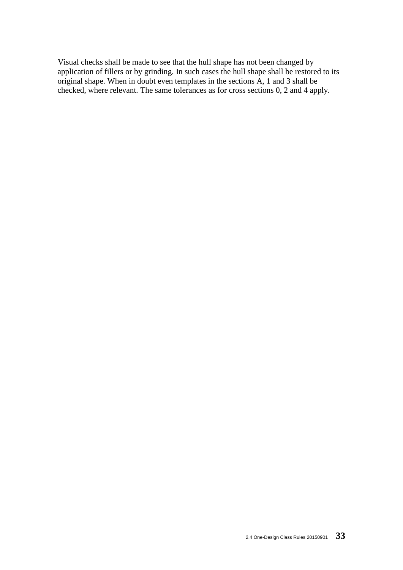Visual checks shall be made to see that the hull shape has not been changed by application of fillers or by grinding. In such cases the hull shape shall be restored to its original shape. When in doubt even templates in the sections A, 1 and 3 shall be checked, where relevant. The same tolerances as for cross sections 0, 2 and 4 apply.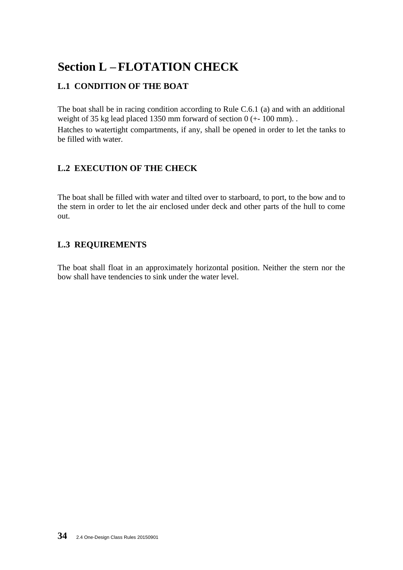## **Section L – FLOTATION CHECK**

## **L.1 CONDITION OF THE BOAT**

The boat shall be in racing condition according to Rule C.6.1 (a) and with an additional weight of 35 kg lead placed 1350 mm forward of section 0 ( $+$ -100 mm). Hatches to watertight compartments, if any, shall be opened in order to let the tanks to be filled with water.

## **L.2 EXECUTION OF THE CHECK**

The boat shall be filled with water and tilted over to starboard, to port, to the bow and to the stern in order to let the air enclosed under deck and other parts of the hull to come out.

## **L.3 REQUIREMENTS**

The boat shall float in an approximately horizontal position. Neither the stern nor the bow shall have tendencies to sink under the water level.